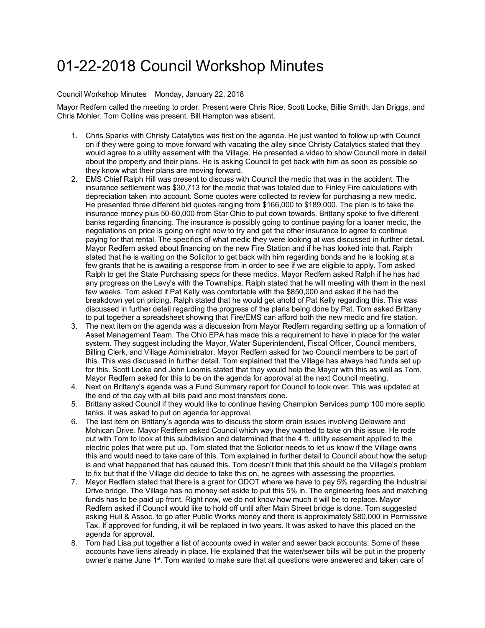## 01-22-2018 Council Workshop Minutes

## Council Workshop Minutes Monday, January 22, 2018

Mayor Redfern called the meeting to order. Present were Chris Rice, Scott Locke, Billie Smith, Jan Driggs, and Chris Mohler. Tom Collins was present. Bill Hampton was absent.

- 1. Chris Sparks with Christy Catalytics was first on the agenda. He just wanted to follow up with Council on if they were going to move forward with vacating the alley since Christy Catalytics stated that they would agree to a utility easement with the Village. He presented a video to show Council more in detail about the property and their plans. He is asking Council to get back with him as soon as possible so they know what their plans are moving forward.
- 2. EMS Chief Ralph Hill was present to discuss with Council the medic that was in the accident. The insurance settlement was \$30,713 for the medic that was totaled due to Finley Fire calculations with depreciation taken into account. Some quotes were collected to review for purchasing a new medic. He presented three different bid quotes ranging from \$166,000 to \$189,000. The plan is to take the insurance money plus 50-60,000 from Star Ohio to put down towards. Brittany spoke to five different banks regarding financing. The insurance is possibly going to continue paying for a loaner medic, the negotiations on price is going on right now to try and get the other insurance to agree to continue paying for that rental. The specifics of what medic they were looking at was discussed in further detail. Mayor Redfern asked about financing on the new Fire Station and if he has looked into that. Ralph stated that he is waiting on the Solicitor to get back with him regarding bonds and he is looking at a few grants that he is awaiting a response from in order to see if we are eligible to apply. Tom asked Ralph to get the State Purchasing specs for these medics. Mayor Redfern asked Ralph if he has had any progress on the Levy's with the Townships. Ralph stated that he will meeting with them in the next few weeks. Tom asked if Pat Kelly was comfortable with the \$850,000 and asked if he had the breakdown yet on pricing. Ralph stated that he would get ahold of Pat Kelly regarding this. This was discussed in further detail regarding the progress of the plans being done by Pat. Tom asked Brittany to put together a spreadsheet showing that Fire/EMS can afford both the new medic and fire station.
- 3. The next item on the agenda was a discussion from Mayor Redfern regarding setting up a formation of Asset Management Team. The Ohio EPA has made this a requirement to have in place for the water system. They suggest including the Mayor, Water Superintendent, Fiscal Officer, Council members, Billing Clerk, and Village Administrator. Mayor Redfern asked for two Council members to be part of this. This was discussed in further detail. Tom explained that the Village has always had funds set up for this. Scott Locke and John Loomis stated that they would help the Mayor with this as well as Tom. Mayor Redfern asked for this to be on the agenda for approval at the next Council meeting.
- 4. Next on Brittany's agenda was a Fund Summary report for Council to look over. This was updated at the end of the day with all bills paid and most transfers done.
- 5. Brittany asked Council if they would like to continue having Champion Services pump 100 more septic tanks. It was asked to put on agenda for approval.
- 6. The last item on Brittany's agenda was to discuss the storm drain issues involving Delaware and Mohican Drive. Mayor Redfern asked Council which way they wanted to take on this issue. He rode out with Tom to look at this subdivision and determined that the 4 ft. utility easement applied to the electric poles that were put up. Tom stated that the Solicitor needs to let us know if the Village owns this and would need to take care of this. Tom explained in further detail to Council about how the setup is and what happened that has caused this. Tom doesn't think that this should be the Village's problem to fix but that if the Village did decide to take this on, he agrees with assessing the properties.
- 7. Mayor Redfern stated that there is a grant for ODOT where we have to pay 5% regarding the Industrial Drive bridge. The Village has no money set aside to put this 5% in. The engineering fees and matching funds has to be paid up front. Right now, we do not know how much it will be to replace. Mayor Redfern asked if Council would like to hold off until after Main Street bridge is done. Tom suggested asking Hull & Assoc. to go after Public Works money and there is approximately \$80,000 in Permissive Tax. If approved for funding, it will be replaced in two years. It was asked to have this placed on the agenda for approval.
- 8. Tom had Lisa put together a list of accounts owed in water and sewer back accounts. Some of these accounts have liens already in place. He explained that the water/sewer bills will be put in the property owner's name June 1<sup>st</sup>. Tom wanted to make sure that all questions were answered and taken care of